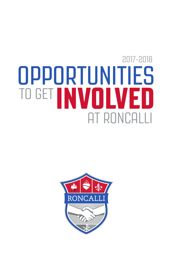# AT RONCALLI 2017-2018 TO GET **INVOLVED OPPORTUNITIES**

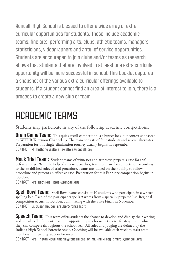Roncalli High School is blessed to offer a wide array of extra curricular opportunities for students. These include academic teams, fine arts, performing arts, clubs, athletic teams, managers, statisticians, videographers and array of service opportunities. Students are encouraged to join clubs and/or teams as research shows that students that are involved in at least one extra curricular opportunity will be more successful in school. This booklet captures a snapshot of the various extra curricular offerings available to students. If a student cannot find an area of interest to join, there is a process to create a new club or team.

### ACADEMIC TEAMS

Students may participate in any of the following academic competitions.

**Brain Game Team:** This quick recall competition is a buzzer lock-out contest sponsored by WTHR Television Channel 13. The team consists of four students and several alternates. Preparation for this single-elimination tourney usually begins in September. CONTACT: Mr. Anthony Walters awalters@roncalli.org

Mock Trial Team: Student teams of witnesses and attorneys prepare a case for trial before a judge. With the help of attorney/coaches, teams prepare for competition according to the established rules of trial procedure. Teams are judged on their ability to follow procedure and present an effective case. Preparation for this February competition begins in .<br>October.

CONTACT: Mrs. Beth Reel breel@roncalli.org

**Spell Bowl Team:** Spell Bowl teams consist of 10 students who participate in a written spelling bee. Each of the participants spells 9 words from a specially prepared list. Regional competition occurs in October, culminating with the State Finals in November. CONTACT: Sr. Susan Reuber sreuber@roncalli.org

**Speech Team:** This team offers students the chance to develop and display their writing and verbal skills. Students have the opportunity to choose between 14 categories in which they can compete throughout the school year. All rules and judging are defined by the Indiana High School Forensic Assoc. Coaching will be available each week to assist team members in their preparation for meets.

CONTACT: Mrs. Tristan McGill tmcgill@roncalli.org or Mr. Phil Milroy pmilroy@roncalli.org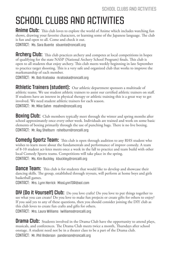## SCHOOL CLUBS AND ACTIVITIES

**Anime Club:** This club loves to explore the world of Anime which includes watching fun shows, drawing your favorite characters, or learning some of the Japanese language. The club is fun and open to all. Come and check it out.

CONTACT: Ms. Sara Buente sbuente@roncalli.org

**Archery Club:** This club practices archery and competes at local competitions in hopes of qualifying for the state NASP (National Archery School Program) finals. This club is open to all students that enjoy archery. This club meets weekly beginning in late September to practice target shooting. This is a very safe and organized club that works to improve the marksmanship of each member.

CONTACT: Mr. Rob Kratoska rkratoska@roncalli.org

**Athletic Trainers (student):** Our athletic department sponsors a multitude of athletic teams. We use student athletic trainers to assist our certified athletic trainers on staff. If students have an interest in physical therapy or athletic training this is a great way to get involved. We need student athletic trainers for each season. CONTACT: Mr. Mike Sahm msahm@roncalli.org

**Boxing Club:** Club members typically meet through the winter and spring months after school approximately once every other week. Individuals are trained and work on some basic elements of boxing primarily through the use of punching bags. There is no live boxing. CONTACT: Mr. Ray Shelburn rshelburn@roncalli.org

**Comedy Sportz Team:** This club is open through audition to any RHS student who wishes to learn more about the fundamentals and performance of improv comedy. A team of 8-10 student act-letes meets once a week in the fall to practice and team build with other local Comedy Sportz teams. Competitions will take place in the spring. CONTACT: Ms. Kim Buckley kbuckley@roncalli.org

**Dance Team:** This club is for students that would like to develop and showcase their dancing skills. The group, established through tryouts, will perform at home boys and girls basketball games.

CONTACT: Mrs. Lynn Herrick MissLynnTDR@aol.com

**DIY (Do it Yourself) Club:** Do you love crafts? Do you love to put things together to see what you can create? Do you love to make fun projects or create gifts for others to enjoy? If you said yes to any of these questions, then you should consider joining the DIY club as this club loves to create fun crafts and gifts for others. CONTACT: Mrs. Laura Williams lwilliams@roncalli.org

**Drama Club:** Students involved in the Drama Club have the opportunity to attend plays, musicals, and conferences. The Drama Club meets twice a month, Thursdays after school onstage. A student need not be in a theater class to be a part of the Drama club. CONTACT: Mr. Phil Anderson panderson@roncalli.org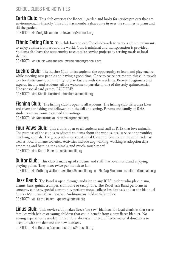#### SCHOOL CLUBS AND ACTIVITIES

**Earth Club:** This club oversees the Roncalli garden and looks for service projects that are environmentally friendly. This club has members that come in over the summer to plant and till the garden.

CONTACT: Mr. Andy Niewedde aniewedde@roncalli.org

**Ethnic Eating Club:** This club loves to eat! The club travels to various ethnic restaurants to enjoy cuisine from around the world. Cost is minimal and transportation is provided. Students also have the opportunity to complete service projects by serving meals at local shelters.

CONTACT: Mr. Chuck Weisenbach cweisenbach@roncalli.org

**EUCHTE CIUD:** The Euchre Club offers students the opportunity to learn and play euchre, while meeting new people and having a good time. Once to twice per month this club travels to a local retirement community to play Euchre with the residents. Between beginners and experts, faculty and students, all are welcome to partake in one of the truly quintessential Hoosier social card games, EUCHRE!

CONTACT: Mrs. Shellie Hartford shartford@roncalli.org

Fishing Club: The fishing club is open to all students. The fishing club visits area lakes and rivers for fishing and fellowship in the fall and spring. Parents and family of RHS students are welcome to attend the outings.

CONTACT: Mr. Rob Kratoska rkratoska@roncalli.org

Four Paws Club: This club is open to all students and staff at RHS that love animals. The purpose of the club is to educate students about the various local service opportunities involving animals. The group volunteers at Animal Care and Control on the south side, as well as, local humane societies. Activities include dog walking, working at adoption days, grooming and bathing the animals, and much, much more! CONTACT: Mrs. Sarah Rose srose@roncalli.org

**Guitar Club:** This club is made up of students and staff that love music and enjoying playing guitar. They meet twice per month to jam. CONTACT: Mr. Anthony Walters awalters@roncalli.org or Mr. Ray Shelburn rshelburn@roncalli.org

**Jazz Band:** The Band is open through audition to any RHS student who plays piano, drums, bass, guitar, trumpet, trombone or saxophone. The Rebel Jazz Band performs at concerts, contests, special community performances, college jazz festivals and at the biannual Smoky Mountain Music Festival. Auditions are held in September. CONTACT: Ms. Kathy Peach kpeach@roncalli.org

**Linus Club:** This service club makes fleece "no sew" blankets for local charities that serve families with babies or young children that could benefit from a new fleece blanket. No sewing experience is needed. This club is always is in need of fleece material donations to keep up with the demand for new blankets.

CONTACT: Mrs. Autumn Currens acurrens@roncalli.org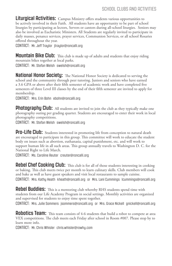**Liturgical Activities:** Campus Ministry offers students various opportunities to be actively involved in their Faith. All students have an opportunity to be part of school liturgies by participating as lectors, Servers or cantors during all-school liturgies. Seniors may also be involved as Eucharistic Ministers. All Students are regularly invited to participate in daily masses, penance services, prayer services, Communion Services, or all school Rosaries offered throughout the year.

CONTACT: Mr. Jeff Traylor jtraylor@roncalli.org

**Mountain Bike Club:** This club is made up of adults and students that enjoy riding mountain bikes together at local parks.

CONTACT: Mr. Stefan Welsh swelsh@roncalli.org

**National Honor Society:** The National Honor Society is dedicated to serving the school and the community through peer tutoring. Juniors and seniors who have earned a 3.6 GPA or above after their fifth semester of academic work and have completed five semesters of three Level III classes by the end of their fifth semester are invited to apply for membership.

CONTACT: Mrs. Erin Bohn ebohn@roncalli.org

**Photography Club:** All students are invited to join the club as they typically make one photography outing per grading quarter. Students are encouraged to enter their work in local photography competitions.

CONTACT: Mr. Stefan Welsh swelsh@roncalli.org

**Pro-Life Club:** Students interested in promoting life from conception to natural death are encouraged to participate in this group. This committee will work to educate the student body on issues such as abortion, euthanasia, capital punishment, etc. and will work to support human life in all such areas. This group annually travels to Washington D. C. for the National Right to Life March.

CONTACT: Ms. Caroline Reuter creuter@roncalli.org

**Rebel Chef Cooking Club:** This club is for all of those students interesting in cooking or baking. This club meets twice per month to learn culinary skills. Club members will cook and bake as well as have guest speakers and visit local restaurants to sample cuisine. CONTACT: Mrs. Kathy Heath kheath@roncalli.org or Mrs. Lani Cummings lcummings@roncalli.org

**Rebel Buddies:** This is a mentoring club whereby RHS students spend time with students from our Life Academy Program in social settings. Monthly activities are organized and supervised for students to enjoy time spent together.

CONTACT: Mrs. Julie Sommers jsommers@roncalli.org or Mrs. Grace Nickell gnickell@roncalli.org

**Robotics Team:** This team consists of 4-6 students that build a robot to compete at area VEX competitions. The club meets each Friday after school in Room #007. Please stop by to learn more info.

CONTACT: Mr. Chris Whisler chris.whisler@rowhy.com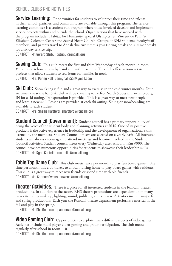#### SCHOOL CLUBS AND ACTIVITIES

**Service Learning:** Opportunities for students to volunteer their time and talents in their school, parishes, and community are available through this program. The service learning committee is a student-run program where those involved develop and implement service projects within and outside the school. Organizations that have worked with the program include: Habitat for Humanity, Special Olympics, St. Vincent de Paul, St. Elizabeth Coleman Center and Sacred Heart Church. Groups of RHS students, faculty/staff members, and parents travel to Appalachia two times a year (spring break and summer break) for a six day service trip.

CONTACT: Mr. Gerard Striby gstriby@roncalli.org

**Sewing Club:** This club meets the first and third Wednesday of each month in room #002 to learn how to sew by hand and with machines. This club offers various service projects that allow students to sew items for families in need. CONTACT: Mrs. Penny Hall pennyhall6551@gmail.com

**Ski Club:** Snow skiing is fun and a great way to exercise in the cold winter months. Foursix times a year the RHS ski club will be traveling to Perfect North Slopes in Lawrenceburg, IN for a ski outing. Transportation is provided. This is a great way to meet new people and learn a new skill. Lessons are provided at each ski outing. Skiing or snowboarding are available to each student.

CONTACT: Mrs. Shellie Hartford shartford@roncalli.org

**Student Council [Government]:** Student council has a primary responsibility of being the voice of the student body and planning activities at RHS. One of its positive products is the active experience in leadership and the development of organizational skills learned by the members. Student Council officers are selected on a yearly basis. All interested students are always encouraged to attend meetings and become involved in the Student Council activities. Student council meets every Wednesday after school in Rm #000. The council provides numerous opportunities for students to showcase their leadership skills. CONTACT: Mr. Ryan Costello rcostello@roncalli.org

**Table Top Game Club:** This club meets twice per month to play fun board games. One time per month this club travels to a local nursing home to play board games with residents. This club is a great way to meet new friends or spend time with old friends. CONTACT: Ms. Corinne Owens cowens@roncalli.org

**Theater Activities:** There is a place for all interested students in the Roncalli theater productions. In addition to the actors, RHS theatre productions are dependent upon many crews including makeup, lighting, sound, publicity, and set crew. Activities include major fall and spring productions. Each year the Roncalli theatre department performs a musical in the fall and play in the spring.

CONTACT: Mr. Phil Anderson panderson@roncalli.org

**Video Gaming Club:** Opportunities to explore many different aspects of video games. Activities include multi player video gaming and group participation. The club meets regularly after school in room 110.

CONTACT: Mr. Phil Anderson panderson@roncalli.org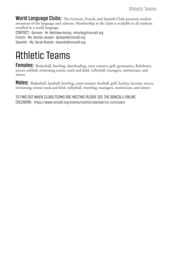**World Language Clubs:** The German, French, and Spanish Clubs promote student awareness of the language and cultures. Membership in the clubs is available to all students enrolled in a world language.

CONTACT: German: Mr. Matthew Hurley mhurley@roncalli.org French: Ms. Denise Joseph djoseph@roncalli.org Spanish: Ms. Sarah Buente sbuente@roncalli.org

### Athletic Teams

Females: Basketball, bowling, cheerleading, cross country, golf, gymnastics, Rebelettes, soccer, softball, swimming tennis, track and field, volleyball; managers, statisticians, and timers

**Males:** Basketball, baseball, bowling, cross country, football, golf, hockey, lacrosse, soccer, swimming, tennis track and field, volleyball, wrestling; managers, statisticians, and timers

TO FIND OUT WHEN CLUBS/TEAMS ARE MEETING PLEASE SEE THE RONCALLI ONLINE CALENDAR: https://www.roncalli.org/events/events/calendar/co-curriculars